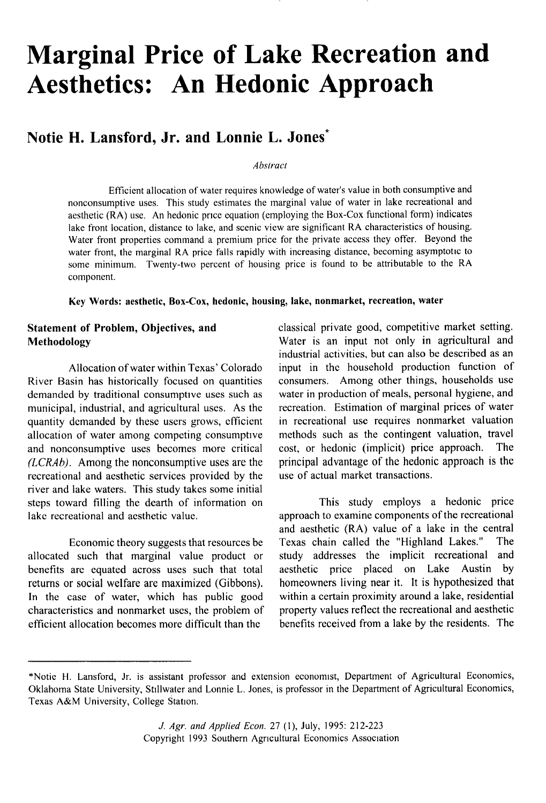# **Marginal Price of Lake Recreation and Aesthetics: An Hedonic Approach**

# **Notie H. Lansford, Jr. and Lonnie L. Jones\***

Abstract

Efficient allocation of water requires knowledge of water's value in both consumptive and nonconsumptive uses. This study estimates the marginal value of water in lake recreational and aesthetic (RA) use. An hedonic price equation (employing the Box-Cox functional form) indicates lake front location, distance to lake, and scenic view are significant RA characteristics of housing. Water front properties command a premium price for the private access they offer. Beyond the water front, the marginal RA price falls rapidly with increasing distance, becoming asymptotic to some minimum. Twenty-two percent of housing price is found to be attributable to the RA component.

**Key Words: aesthetic, BOX-COX,hedonic, housing, lake, nonmarket, recreation, water**

### **Statement of Problem, Objectives, and Methodology**

Allocation of water within Texas' Colorado River Basin has historically focused on quantities demanded by traditional consumptive uses such as municipal, industrial, and agricultural uses. As the quantity demanded by these users grows, efficient allocation of water among competing consumptive and nonconsumptive uses becomes more critical *(LCRAb).* Among the nonconsumptive uses are the recreational and aesthetic services provided by the river and lake waters. This study takes some initial steps toward tilling the dearth of information on Iakc recreational and aesthetic value.

Economic theory suggests that resources be allocated such that marginal value product or benefits arc equated across uses such that total returns or social welfare are maximized (Gibbons). In the case of water, which has public good characteristics and nonmarket uses, the problem of efficient allocation becomes more difficult than the

classical private good, competitive market setting. Water is an input not only in agricultural and industrial activities, but can also be described as an input in the household production function of consumers. Among other things, households use water in production of meals, personal hygiene, and recreation. Estimation of marginal prices of water in recreational use requires nonmarket valuation methods such as the contingent valuation, travel cost, or hedonic (implicit) price approach. The principal advantage of the hedonic approach is the use of actual market transactions.

This study employs a hedonic price approach to examine components of the recreational and aesthetic (RA) value of a lake in the central Texas chain called the "Highland Lakes." The study addresses the implicit recreational and aesthetic price placed on Lake Austin by homeowners living near it, It is hypothesized that within a certain proximity around a lake, residential property values reflect the recreational and aesthetic benefits received from a lake by the residents. The

<sup>\*</sup>Notie H. Lansford, Jr. is assistant professor and extension economist, Department of Agricultural Economics, Oklahoma State University, Shliwater and Lonnie L. Jones, is professor in the Department of Agricultural Economics, Texas A&M University, College Station.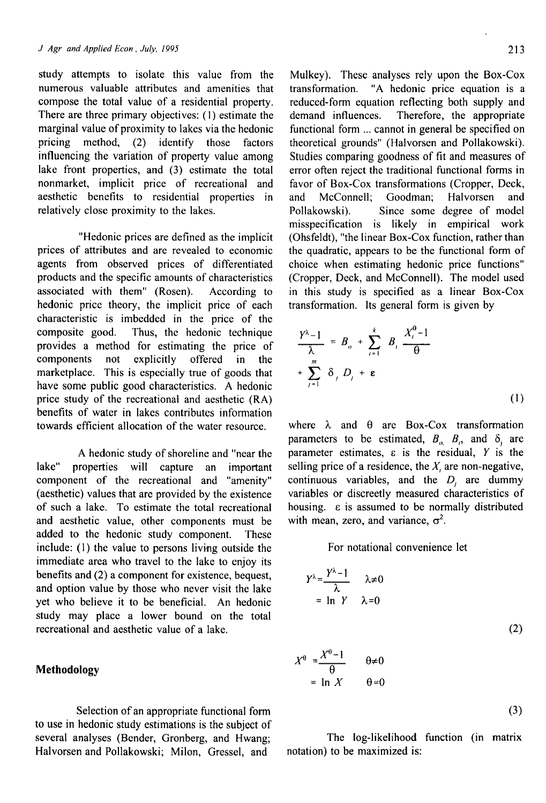study attempts to isolate this value from the numerous valuable attributes and amenities that compose the total value of a residential property. There are three primary objectives: (1) estimate the marginal value of proximity to lakes via the hedonic pricing method, (2) identify those factors influencing the variation of property value among lake front properties, and (3) estimate the total nonmarket, implicit price of recreational and aesthetic benefits to residential properties in relatively close proximity to the lakes.

"Hedonic prices are defined as the implicit prices of attributes and are revealed to economic agents from observed prices of differentiated products and the specific amounts of characteristics associated with them" (Rosen). According to hedonic price theory, the implicit price of each characteristic is imbedded in the price of the composite good. Thus, the hedonic technique provides a method for estimating the price of components not explicitly offered in the marketplace. This is especially true of goods that have some public good characteristics. A hedonic price study of the recreational and aesthetic (RA) benefits of water in lakes contributes information towards efficient allocation of the water resource,

A hedonic study of shoreline and "near the lake" properties will capture an important component of the recreational and "amenity" (aesthetic) values that are provided by the existence of such a lake. To estimate the total recreational and aesthetic value, other components must be added to the hedonic study component. These include: (1) the value to persons living outside the immediate area who travel to the lake to enjoy its benefits and (2) a component for existence, bequest, and option value by those who never visit the lake yet who believe it to be beneficial, An hedonic study may place a lower bound on the total recreational and aesthetic value of a lake.

#### Methodology 0

Selection of an appropriate functional form (3) (3) to use in hedonic study estimations is the subject of several analyses (Bender, Gronberg, and Hwang; The log-likelihood function (in matrix Halvorsen and Pollakowski; Milon, Gressel, and notation) to be maximized is:

Mulkey). These analyses rely upon the BOX-COX transformation. "A hedonic price equation is a reduced-form equation reflecting both supply and demand influences. Therefore, the appropriate functional form ... cannot in general be specified on theoretical grounds" (Halvorsen and Pollakowski). Studies comparing goodness of fit and measures of error often reject the traditional functional forms in favor of Box-Cox transformations (Cropper, Deck, and McConnell; Goodman; Halvorsen and Pollakowski). Since some degree of model misspecification is likely in empirical work (Ohsfeldt), "the linear Box-Cox function, rather than the quadratic, appears to be the functional form of choice when estimating hedonic price functions" (Cropper, Deck, and McConnell). The model used in this study is specified as a linear BOX-COX transformation. its general form is given by

$$
\frac{Y^{\lambda}-1}{\lambda} = B_{\rho} + \sum_{i=1}^{k} B_{i} \frac{X_{i}^{\theta}-1}{\theta}
$$
  
+ 
$$
\sum_{j=1}^{m} \delta_{j} D_{j} + \varepsilon
$$
 (1)

where  $\lambda$  and  $\theta$  are Box-Cox transformation parameters to be estimated,  $B_0$ ,  $B_i$ , and  $\delta_i$  are parameter estimates,  $\varepsilon$  is the residual,  $Y$  is the selling price of a residence, the  $X$ , are non-negative, continuous variables, and the *D,* are dummy variables or discreetly measured characteristics of housing. & is assumed to be normally distributed with mean, zero, and variance,  $\sigma^2$ .

For notational convenience let

$$
Y^{\lambda} = \frac{Y^{\lambda} - 1}{\lambda} \qquad \lambda \neq 0
$$
  
= ln Y \qquad \lambda = 0  
(2)

$$
X^{\theta} = \frac{X^{\theta} - 1}{\theta} \qquad \theta \neq 0
$$
  
= ln X \qquad \theta = 0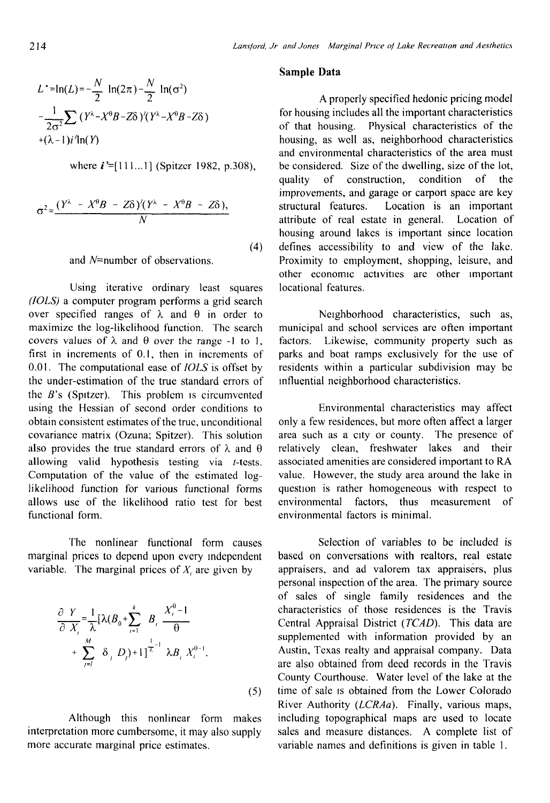$$
L^* = \ln(L) = -\frac{N}{2} \ln(2\pi) - \frac{N}{2} \ln(\sigma^2)
$$

$$
-\frac{1}{2\sigma^2} \sum (Y^{\lambda} - X^{\theta}B - Z\delta)'(Y^{\lambda} - X^{\theta}B - Z\delta)
$$

$$
+(\lambda - 1)i'\ln(Y)
$$

where  $i = [111...1]$  (Spitzer 1982, p.308),

$$
\sigma^2 = \frac{(Y^{\lambda} - X^{\theta}B - Z\delta)'(Y^{\lambda} - X^{\theta}B - Z\delta)}{N}
$$
\n(4)

and N=number of observations.

Using iterative ordinary Ieast squares *(IOLS)* a computer program performs a grid search over specified ranges of  $\lambda$  and  $\theta$  in order to maximize the Iog-likelihood function. The search covers values of  $\lambda$  and  $\theta$  over the range -1 to 1, first in increments of 0.1, then in increments of 0.01. The computational ease of *10LS is* offset by the under-estimation of the true standard errors of the *B*'s (Spitzer). This problem is circumvented using the Hessian of second order conditions to obtain consistent estimates of the true, unconditional covariance matrix (Ozuna; Spitzer). This solution also provides the true standard errors of  $\lambda$  and  $\theta$ allowing valid hypothesis testing via t-tests. Computation of the value of the estimated loglikelihood function for various functional forms allows use of the likelihood ratio test for best functional form.

The nonlinear functional form causes marginal prices to depend upon every independent variable. The marginal prices of  $X$ , are given by

$$
\frac{\partial Y}{\partial X_i} = \frac{1}{\lambda} \left[ \lambda (B_0 + \sum_{i=1}^k B_i \frac{X_i^{\theta} - 1}{\theta} + \sum_{j=1}^M \delta_j D_j) + 1 \right]^{\frac{1}{\lambda} - 1} \lambda B_i X_i^{\theta - 1}.
$$
\n(5)

Although this nonlinear form makes interpretation more cumbersome, it may also supply more accurate marginal price estimates.

#### **Sample Data**

A properly specified hedonic pricing model for housing includes all the important characteristics of that housing. Physical characteristics of the housing, as well as, neighborhood characteristics and environmental characteristics of the area must be considered. Size of the dwelling, size of the lot, quality of construction, condition of the improvements, and garage or carport space are key structural features. Location is an important attribute of real estate in general. Location of housing around Iakcs is important since location defines accessibility to and view of the lake. Proximity to employment, shopping, leisure, and other economic activities are other Important locational features.

Neighborhood characteristics, such as, municipal and school services are often important factors. Likewise, community property such as parks and boat ramps exclusively for the use of residents within a particular subdivision may bc Influential neighborhood characteristics.

Environmental characteristics may affect only a few residences, but more often affect a larger area such as a city or county. The presence of relatively clean, freshwater lakes and their associated amenities are considered important to RA value. However, the study area around the lake in question is rather homogeneous with respect to environmental factors, thus measurement of environmental factors is minimal.

Selection of variables to be incIuded is based on conversations with realtors, real estate appraisers, and ad valorem tax appraisers, plus personal inspection of the area. The primary source of sales of single family residences and the characteristics of those residences is the Travis Central Appraisal District (TCAD). This data are supplemented with information provided by an Austin, Texas realty and appraisal company. Data are also obtained from deed records in the Travis County Courthouse. Water Icvel of the lake at the time of sale is obtained from the Lower Colorado River Authority *(LCRAa).* Finally, various maps, including topographical maps arc used to locate sales and measure distances, A complete list of variable names and definitions is given in table 1.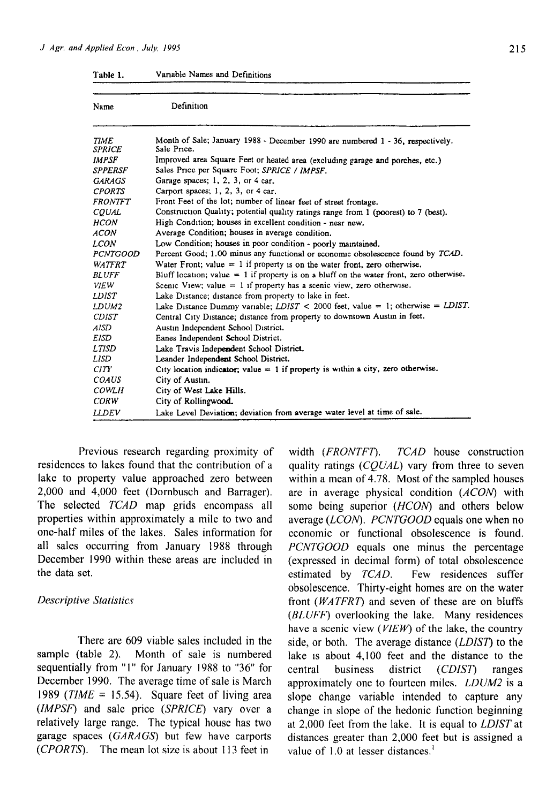| Table 1. | Variable Names and Definitions |
|----------|--------------------------------|
|----------|--------------------------------|

| Name              | Definition                                                                                |
|-------------------|-------------------------------------------------------------------------------------------|
| <b>TIME</b>       | Month of Sale; January 1988 - December 1990 are numbered 1 - 36, respectively.            |
| <b>SPRICE</b>     | Sale Price.                                                                               |
| <b>IMPSF</b>      | Improved area Square Feet or heated area (excluding garage and porches, etc.)             |
| <b>SPPERSF</b>    | Sales Price per Square Foot; SPRICE / IMPSF.                                              |
| <b>GARAGS</b>     | Garage spaces; 1, 2, 3, or 4 car.                                                         |
| <b>CPORTS</b>     | Carport spaces; 1, 2, 3, or 4 car.                                                        |
| <b>FRONTFT</b>    | Front Feet of the lot; number of linear feet of street frontage.                          |
| CQUAL             | Construction Quality; potential quality ratings range from 1 (poorest) to 7 (best).       |
| <b>HCON</b>       | High Condition; houses in excellent condition - near new.                                 |
| <i>ACON</i>       | Average Condition; houses in average condition.                                           |
| <i>LCON</i>       | Low Condition; houses in poor condition - poorly maintained.                              |
| <b>PCNTGOOD</b>   | Percent Good; 1.00 minus any functional or economic obsolescence found by TCAD.           |
| <b>WATFRT</b>     | Water Front; value $= 1$ if property is on the water front, zero otherwise.               |
| <b>BLUFF</b>      | Bluff location; value $= 1$ if property is on a bluff on the water front, zero otherwise. |
| <b>VIEW</b>       | Scenic View; value = $1$ if property has a scenic view, zero otherwise.                   |
| <b>LDIST</b>      | Lake Distance; distance from property to lake in feet.                                    |
| LDUM <sub>2</sub> | Lake Distance Dummy variable; $LDIST < 2000$ feet, value = 1; otherwise = $LDIST$ .       |
| <b>CDIST</b>      | Central City Distance; distance from property to downtown Austin in feet.                 |
| AISD              | Austin Independent School District.                                                       |
| <b>EISD</b>       | Eanes Independent School District.                                                        |
| <i>LTISD</i>      | Lake Travis Independent School District.                                                  |
| LISD              | Leander Independent School District.                                                      |
| CITY              | City location indicator; value $= 1$ if property is within a city, zero otherwise.        |
| <b>COAUS</b>      | City of Austin.                                                                           |
| <b>COWLH</b>      | City of West Lake Hills.                                                                  |
| <i>CORW</i>       | City of Rollingwood.                                                                      |
| <b>LLDEV</b>      | Lake Level Deviation; deviation from average water level at time of sale.                 |

Previous research regarding proximity of residences to lakes found that the contribution of a lake to property value approached zero between 2,000 and 4,000 feet (Dornbusch and Barrager). The selected *TCAD* map grids encompass all properties within approximately a mile to two and one-half miles of the lakes. Sales information for all sales occurring from January 1988 through December 1990 within these areas are included in the data set.

#### Descriptive Statistics

There are 609 viable sales included in the sample (table 2). Month of sale is numbered sequentially from "I" for January 1988 to "36" for December 1990. The average time of sale is March 1989 *(TIME = 15.54).* Square feet of living area *(IMPSF)* and sale price *(SPRICE)* vary over a relatively large range. The typical house has two garage spaces (GARAGS) but few have carports *(c'PORTX).* The mean lot size is about I I3 feet in

width *(FRONTFT), TCAD* house construction quality ratings *(CQUAL)* vary from three to seven within a mean of 4.78. Most of the sampled houses are in average physical condition *(ACON)* with some being superior *(HCON)* and others below average *(LCON). PCNTGOOD* equals one when no economic or functional obsolescence is found. *PCNTGOOD* equals one minus the percentage (expressed in decimal form) of total obsolescence estimated by *TCAD.* Few residences suffer obsolescence. Thirty-eight homes are on the water front *(WATFRT)* and seven of these are on bluffs *(BLUFF)* overlooking the lake. Many residences have a scenic view  $(VIEW)$  of the lake, the country side, or both. The average distance *(LDLST)* to the lake is about 4,100 feet and the distance to the central business district *(CDIST,)* ranges approximately one to fourteen miles. *LDUM2* is a slope change variable intended to capture any change in slope of the hedonic function beginning at 2,000 feet from the lake. It is equal to *LDIST* at distances greater than 2,000 feet but is assigned a value of 1.0 at lesser distances.<sup>1</sup>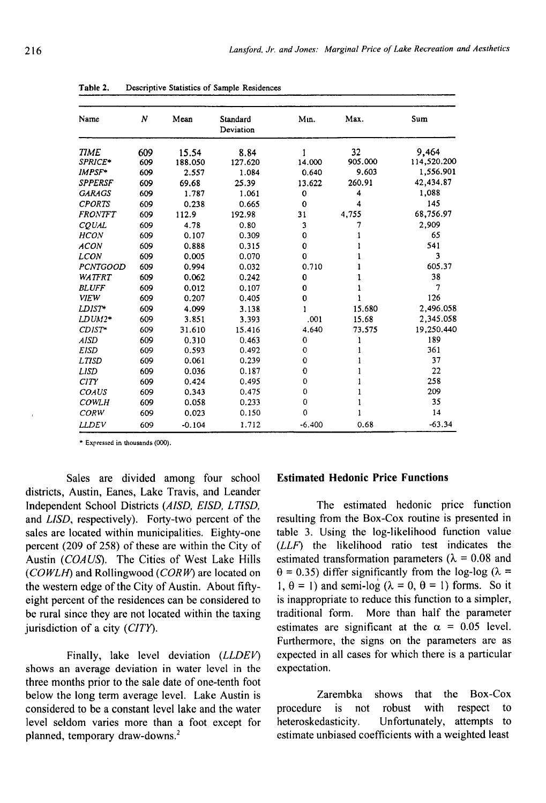| Name                  | $\boldsymbol{N}$ | Mean     | Standard<br>Deviation | Min.        | Max.    | Sum         |
|-----------------------|------------------|----------|-----------------------|-------------|---------|-------------|
| <b>TIME</b>           | 609              | 15.54    | 8.84                  | 1           | 32      | 9,464       |
| <b>SPRICE*</b>        | 609              | 188.050  | 127.620               | 14.000      | 905.000 | 114,520.200 |
| <i><b>IMPSF*</b></i>  | 609              | 2.557    | 1.084                 | 0.640       | 9.603   | 1,556.901   |
| <b>SPPERSF</b>        | 609              | 69.68    | 25.39                 | 13.622      | 260.91  | 42,434.87   |
| <b>GARAGS</b>         | 609              | 1.787    | 1.061                 | $\mathbf 0$ | 4       | 1,088       |
| <b>CPORTS</b>         | 609              | 0.238    | 0.665                 | $\mathbf 0$ | 4       | 145         |
| <i><b>FRONTFT</b></i> | 609              | 112.9    | 192.98                | 31          | 4,755   | 68,756.97   |
| COUAL                 | 609              | 4.78     | 0.80                  | 3           | 7       | 2,909       |
| <b>HCON</b>           | 609              | 0.107    | 0.309                 | 0           |         | 65          |
| ACON                  | 609              | 0.888    | 0.315                 | $\mathbf 0$ |         | 541         |
| <i>LCON</i>           | 609              | 0.005    | 0.070                 | $\mathbf 0$ |         | 3           |
| <b>PCNTGOOD</b>       | 609              | 0.994    | 0.032                 | 0.710       |         | 605.37      |
| <b>WATFRT</b>         | 609              | 0.062    | 0.242                 | $\mathbf 0$ |         | 38          |
| <b>BLUFF</b>          | 609              | 0.012    | 0.107                 | 0           |         | 7           |
| <b>VIEW</b>           | 609              | 0.207    | 0.405                 | 0           |         | 126         |
| LDIST*                | 609              | 4.099    | 3.138                 | 1           | 15.680  | 2,496.058   |
| LDUM2*                | 609              | 3.851    | 3.393                 | .001        | 15.68   | 2,345.058   |
| $CDIST*$              | 609              | 31.610   | 15.416                | 4.640       | 73.575  | 19,250.440  |
| AISD                  | 609              | 0.310    | 0.463                 | $\mathbf 0$ |         | 189         |
| EISD                  | 609              | 0.593    | 0.492                 | 0           |         | 361         |
| <b>LTISD</b>          | 609              | 0.061    | 0.239                 | 0           |         | 37          |
| <b>LISD</b>           | 609              | 0.036    | 0.187                 | 0           |         | 22          |
| <b>CITY</b>           | 609              | 0.424    | 0.495                 | 0           |         | 258         |
| COAUS                 | 609              | 0.343    | 0.475                 | 0           |         | 209         |
| <b>COWLH</b>          | 609              | 0.058    | 0.233                 | 0           |         | 35          |
| CORW                  | 609              | 0.023    | 0.150                 | $\mathbf 0$ | 1       | 14          |
| LLDEV                 | 609              | $-0.104$ | 1.712                 | $-6.400$    | 0.68    | $-63.34$    |

Table 2. Descriptive Statistics of Sample Residences

" Expressed in thousands (000).

Sales are divided among four school districts, Austin, Eanes, Lake Travis, and Leander Independent School Districts (ALSD, *ElSD, LTISD,* and *LISD,* respectively). Forty-two percent of the sales are located within municipalities. Eighty-one percent (209 of 258) of these are within the City of Austin *(COAUS)*. The Cities of West Lake Hills *(COWLH)* and Rollingwood *(CORW)* are located on the western edge of the City of Austin. About fiftyeight percent of the residences can be considered to be rural since they are not located within the taxing jurisdiction of a city *(CITY).*

Finally, lake level deviation *(LLDE1/)* shows an average deviation in water level in the three months prior to the sale date of one-tenth foot below the long term average level. Lake Austin is considered to be a constant level lake and the water level seldom varies more than a foot except for planned, temporary draw-downs.<sup>2</sup>

#### Estimated Hedonic Price Functions

The estimated hedonic price function resulting from the Box-Cox routine is presented in table 3. Using the log-likelihood function value *(LLF')* the likelihood ratio test indicates the estimated transformation parameters ( $\lambda = 0.08$  and  $\theta$  = 0.35) differ significantly from the log-log ( $\lambda$  = 1,  $\theta = 1$ ) and semi-log ( $\lambda = 0$ ,  $\theta = 1$ ) forms. So it is inappropriate to reduce this function to a simpler, traditional form. More than half the parameter estimates are significant at the  $\alpha = 0.05$  level. Furthermore, the signs on the parameters are as expected in all cases for which there is a particular expectation.

Zarembka shows that the BOX-COX procedure is not robust with respect to heteroskedasticity. Unfortunately, attempts to estimate unbiased coefficients with a weighted least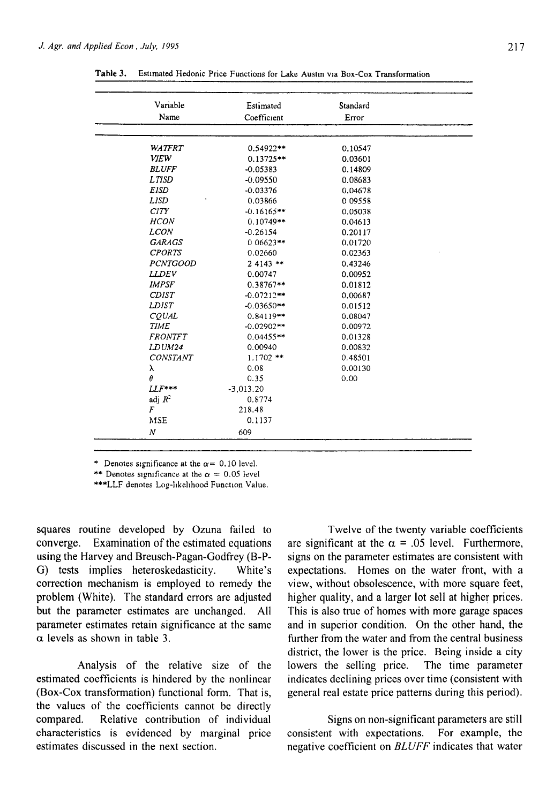| Variable         | Estimated    | Standard |  |
|------------------|--------------|----------|--|
| Name             | Coefficient  | $E$ mor  |  |
| <b>WATFRT</b>    | 0.54922**    | 0.10547  |  |
| <b>VIEW</b>      | $0.13725**$  | 0.03601  |  |
| <b>BLUFF</b>     | $-0.05383$   | 0.14809  |  |
| <b>LTISD</b>     | $-0.09550$   | 0.08683  |  |
| <b>EISD</b>      | $-0.03376$   | 0.04678  |  |
| LISD             | 0.03866      | 0 09558  |  |
| <b>CITY</b>      | $-0.16165**$ | 0.05038  |  |
| <b>HCON</b>      | $0.10749**$  | 0.04613  |  |
| <i>LCON</i>      |              |          |  |
| <b>GARAGS</b>    | $-0.26154$   | 0.20117  |  |
|                  | $0.06623**$  | 0.01720  |  |
| <b>CPORTS</b>    | 0.02660      | 0.02363  |  |
| <b>PCNTGOOD</b>  | $24143$ **   | 0.43246  |  |
| <b>LLDEV</b>     | 0.00747      | 0.00952  |  |
| <b>IMPSF</b>     | $0.38767**$  | 0.01812  |  |
| <b>CDIST</b>     | $-0.07212**$ | 0.00687  |  |
| LDIST            | $-0.03650**$ | 0.01512  |  |
| COUAL            | $0.84119**$  | 0.08047  |  |
| <b>TIME</b>      | $-0.02902**$ | 0.00972  |  |
| <b>FRONTFT</b>   | $0.04455**$  | 0.01328  |  |
| LDUM24           | 0.00940      | 0.00832  |  |
| CONSTANT         | $1.1702$ **  | 0.48501  |  |
| λ                | 0.08         | 0.00130  |  |
| θ                | 0.35         | 0.00     |  |
| $LLF***$         | $-3.013.20$  |          |  |
| adj $R^2$        | 0.8774       |          |  |
| F                | 218.48       |          |  |
| <b>MSE</b>       | 0.1137       |          |  |
| $\boldsymbol{N}$ | 609          |          |  |

Table 3. Estimated Hedonic Price Functions for Lake Austin via Box-Cox Transformation

\* Denotes significance at the  $\alpha$  = 0.10 level.

\*\* Denotes significance at the  $\alpha = 0.05$  level

\*\*\*LLF denotes Log-likelihood Function Value.

squares routine developed by Ozuna failed to converge. Examination of the estimated equations using the Harvey and Breusch-Pagan-Godfrey (B-P-G) tests implies heteroskedasticity. White's correction mechanism is employed to remedy the problem (White). The standard errors are adjusted but the parameter estimates are unchanged. All parameter estimates retain significance at the same  $\alpha$  levels as shown in table 3.

Analysis of the relative size of the estimated coefficients is hindered by the nonlinear (Box-Cox transformation) functional form. That is, the values of the coefficients cannot be directly compared. Relative contribution of individual characteristics is evidenced by marginal price estimates discussed in the next section.

Twelve of the twenty variable coefficients are significant at the  $\alpha$  = .05 level. Furthermore, signs on the parameter estimates are consistent with expectations. Homes on the water front, with a view, without obsolescence, with more square feet, higher quality, and a larger lot sell at higher prices. This is also true of homes with more garage spaces and in superior condition. On the other hand, the further from the water and from the central business district, the lower is the price. Being inside a city lowers the selling price. The time parameter indicates declining prices over time (consistent with general real estate price patterns during this period).

Signs on non-significant parameters are still consistent with expectations. For example, the negative coefficient on *BLUFF* indicates that water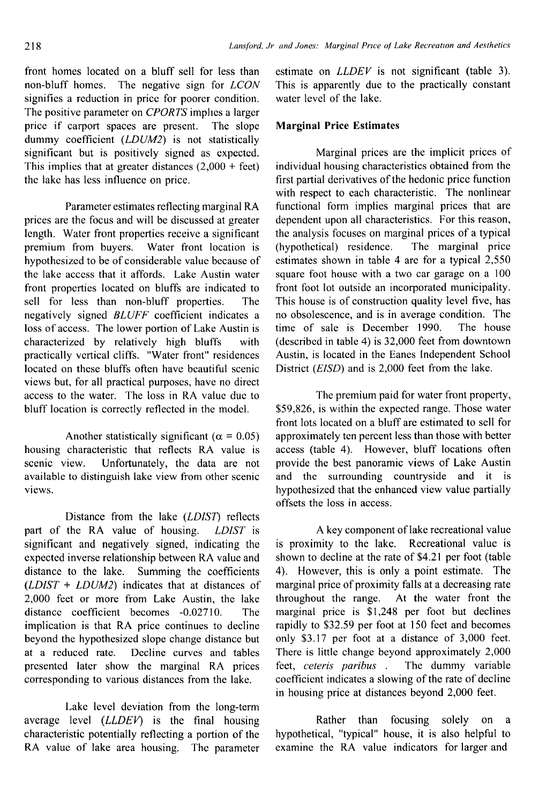front homes located on a bluff sell for less than non-bluff homes. The negative sign for *LCON* signifies a reduction in price for poorer condition. The positive parameter on *CPORTS* implies a larger price if carport spaces are present. The slope dummy coefficient (LDUM2) is not statistically significant but is positively signed as expected. This implies that at greater distances  $(2.000 + feet)$ the lake has less influence on price.

Parameter estimates reflecting marginal RA prices are the focus and will be discussed at greater Icngth. Water front properties receive a significant premium from buyers. Water front location is hypothesized to be of considerable value bccausc of the lake access that it affords. Lake Austin water front properties located on bluffs are indicated to sell for Icss than non-bluff properties. The negatively signed *BLUFF* coefficient indicates a loss of access. The lower portion of Lake Austin is characterized by relatively high bluffs with practically vertical cliffs. "Water front" residences located on these bluffs often have beautiful scenic views but, for all practical purposes, have no direct access to the water. The loss in RA value duc to bluff location is correctly reflected in the model.

Another statistically significant ( $\alpha = 0.05$ ) housing characteristic that reflects RA value is scenic view. Unfortunately, the data are not available to distinguish lake view from other scenic views.

Distance from the lake *(LDLS7)* reflects part of the RA value of housing. *LDIST is* significant and negatively signed, indicating the expected inverse relationship between RA value and distance to the lake. Summing the coefficients *(LDIST + LDUM2)* indicates that at distances of 2,000 feet or more from Lake Austin, the lake distance coefficient becomes -0.02710. The implication is that RA price continues to decline beyond the hypothesized slope change distance but at a reduced rate. Decline curves and tables presented later show the marginal RA prices corresponding to various distances from the lake.

Lake level deviation from the long-term average level *(LLDEV) is* the final housing characteristic potentially reflecting a portion of the  $RA$  value of lake area housing. The parameter estimate on *LLDEV is* not significant (table 3). This is apparently due to the practically constant water level of the lake.

#### **Marginal Price Estimates**

Marginal prices are the implicit prices of individual housing characteristics obtained from the first partial derivatives of the hedonic price timction with respect to each characteristic. The nonlinear functional form implies marginal prices that are dependent upon all characteristics. For this reason, the analysis focuses on marginal prices of a typical (hypothetical) residence. The marginal price estimates shown in table 4 are for a typical 2,550 square foot house with a two car garage on a 100 front foot lot outside an incorporated municipality. This house is of construction quality level five, has no obsolescence, and is in average condition. The time of sale is December 1990. The house (described in table 4) is 32,000 feet from downtown Austin, is Iocatcd in the Eanes Independent School District (*EISD*) and is 2,000 feet from the lake.

The premium paid for water front property, \$59,826, is within the expected range. Those water front lots located on a bluff are estimated to sell for approximately ten percent less than those with better access (table 4). However, bluff locations often provide the best panoramic views of Lake Austin and the surrounding countryside and it is hypothesized that the enhanced view value partially offsets the loss in access.

A key component of lake recreational value is proximity to the lake. Recreational value is shown to decline at the rate of \$4.21 per foot (table 4). However, this is only a point estimate. The marginal price of proximity falls at a decreasing rate throughout the range. At the water front the marginal price is \$1,248 per foot but declines rapidly to \$32.59 per foot at 150 feet and becomes only \$3.17 per foot at a distance of 3,000 feet. There is little change beyond approximately 2,000 feet, *ceteris paribus .* The dummy variable coefficient indicates a slowing of the rate of decline in housing price at distances beyond 2,000 feet.

Rather than focusing solely on a hypothetical, "typical" house, it is also helpful to examine the RA value indicators for larger and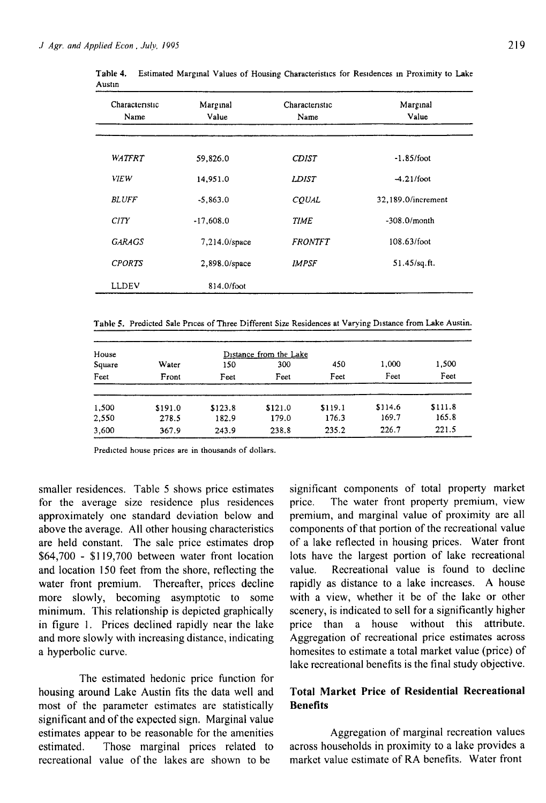| Characteristic<br>Name | Marginal<br>Value | Characteristic<br>Name | Marginal<br>Value  |  |
|------------------------|-------------------|------------------------|--------------------|--|
| <b>WATFRT</b>          | 59,826.0          | <b>CDIST</b>           | $-1.85/f$ oot      |  |
| <b>VIEW</b>            | 14,951.0          | <b>LDIST</b>           | $-4.21/foot$       |  |
| <b>BLUFF</b>           | $-5,863.0$        | COUAL                  | 32,189.0/increment |  |
| <b>CITY</b>            | $-17,608.0$       | <b>TIME</b>            | $-308.0/m$ onth    |  |
| <b>GARAGS</b>          | 7,214.0/space     | <b>FRONTFT</b>         | 108.63/foot        |  |
| <b>CPORTS</b>          | 2,898.0/space     | <b>IMPSF</b>           | $51.45$ /sq.ft.    |  |
| LLDEV                  | 814.0/foot        |                        |                    |  |

Table 4. Estimated Marginal Values of Housing Characteristics for Residences in Proximity to Lake Austin

Table 5. Predicted Sale Prices of Three Different Size Residences at Varying Distance from Lake Austin.

| House  |         |         | Distance from the Lake |         |         |         |
|--------|---------|---------|------------------------|---------|---------|---------|
| Square | Water   | 150     | 300                    | 450     | 1,000   | 1,500   |
| Feet   | Front   | Feet    | Feet                   | Feet    | Feet    | Feet    |
| 1,500  | \$191.0 | \$123.8 | \$121.0                | \$119.1 | \$114.6 | \$111.8 |
| 2,550  | 278.5   | 182.9   | 179.0                  | 176.3   | 169.7   | 165.8   |
| 3,600  | 367.9   | 243.9   | 238.8                  | 235.2   | 226.7   | 221.5   |

Predicted house prices are in thousands of dollars.

smaller residences. Table 5 shows price estimates for the average size residence plus residences approximately one standard deviation below and above the average. All other housing characteristics are held constant. The sale price estimates drop \$64,700- \$1 I9,700 between water front location and location 150 feet from the shore, reflecting the water front premium. Thereafter, prices decline more slowly, becoming asymptotic to some minimum, This relationship is depicted graphically in figure 1. Prices declined rapidly near the lake and more slowly with increasing distance, indicating a hyperbolic curve.

The estimated hedonic price function for housing around Lake Austin fits the data well and most of the parameter estimates are statistically significant and of the expected sign. Marginal value estimates appear to be reasonable for the amenities estimated. Those marginal prices related to recreational value of the lakes are shown to be

significant components of total property market price. The water front property premium, view premium, and marginal value of proximity are all components of that portion of the recreational value of a lake reflected in housing prices. Water front lots have the largest portion of lake recreational value. Recreational value is found to decline rapidly as distance to a lake increases. A house with a view, whether it be of the lake or other scenery, is indicated to sell for a significantly higher price than a house without this attribute. Aggregation of recreational price estimates across homesites to estimate a total market value (price) of lake recreational benefits is the final study objective.

### **Total Market Price of Residential Recreational Benefits**

Aggregation of marginal recreation values across households in proximity to a lake provides a market value estimate of RA benefits. Water front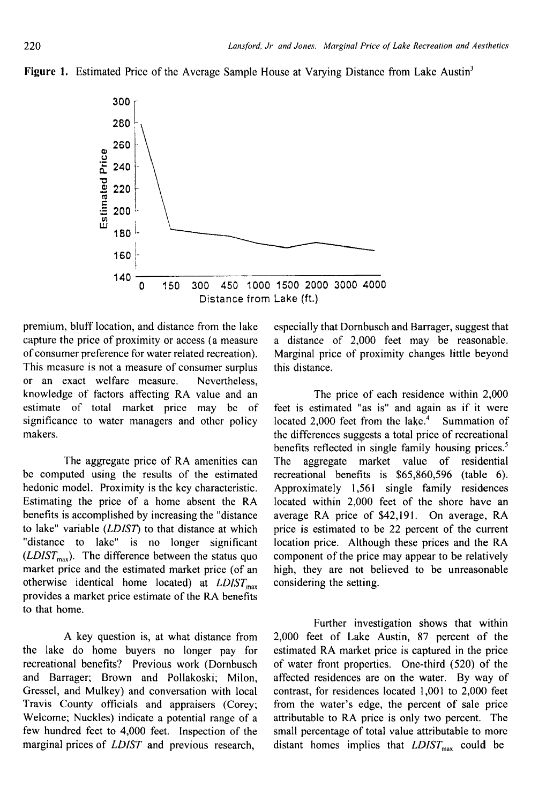



premium, bluff location, and distance from the lake capture the price of proximity or access (a measure of consumer preference for water related recreation). This measure is not a measure of consumer surplus or an exact welfare measure, Nevertheless, knowledge of factors affecting RA value and an estimate of total market price may be of significance to water managers and other policy makers.

The aggregate price of RA amenities can be computed using the results of the estimated hedonic model. Proximity is the key characteristic. Estimating the price of a home absent the RA benefits is accomplished by increasing the "distance to lake" variable (LDIST) to that distance at which "distance to lake" is no longer significant  $(LDIST<sub>max</sub>)$ . The difference between the status quo market price and the estimated market price (of an otherwise identical home located) at *LD/STmax* provides a market price estimate of the RA benefits to that home.

A key question is, at what distance from the lake do home buyers no longer pay for recreational benefits? Previous work (Dornbusch and Barrager; Brown and Pollakoski; Milon, Gressel, and Mulkey) and conversation with local Travis County officials and appraisers (Corey; Welcome; Nuckles) indicate a potential range of a few hundred feet to 4,000 feet. Inspection of the marginal prices of *LDfST* and previous research,

especially that Dornbusch and Barrager, suggest that a distance of 2,000 feet may be reasonable. Marginal price of proximity changes little beyond this distance.

The price of each residence within 2,000 feet is estimated "as is" and again as if it were located 2,000 feet from the lake.<sup>4</sup> Summation of the differences suggests a total price of recreational benefits reflected in single family housing prices. $5$ The aggregate market value of residential recreational benefits is \$65,860,596 (table 6). Approximately 1,561 single family residences located within 2,000 feet of the shore have an average RA price of \$42,191. On average, RA price is estimated to be 22 percent of the current location price. Although these prices and the RA component of the price may appear to be relatively high, they are not believed to be unreasonable considering the setting.

Further investigation shows that within 2,000 feet of Lake Austin, 87 percent of the estimated RA market price is captured in the price of water front properties. One-third (520) of the affected residences are on the water. By way of contrast, for residences located 1,001 to 2,000 feet from the water's edge, the percent of sale price attributable to RA price is only two percent. The small percentage of total value attributable to more distant homes implies that *LDLSTmax* could be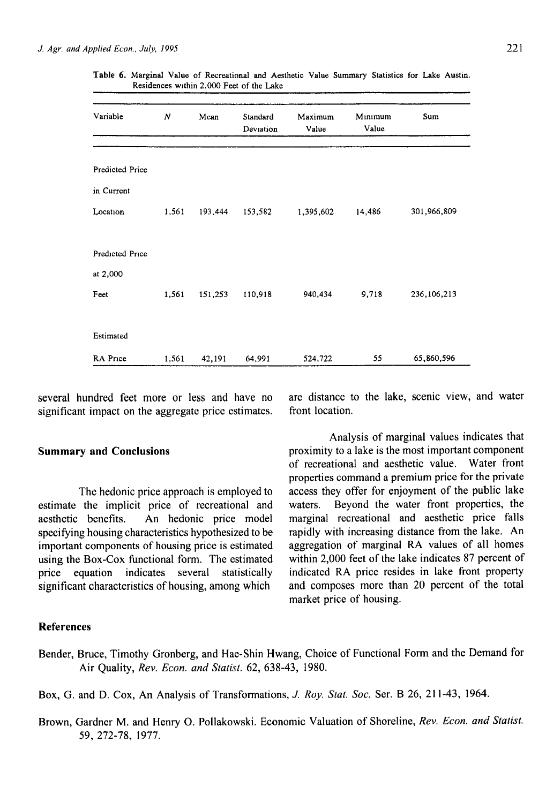| Variable        | N     | Mean    | Standard<br>Deviation | Maximum<br>Value | Minimum<br>Value | Sum           |
|-----------------|-------|---------|-----------------------|------------------|------------------|---------------|
|                 |       |         |                       |                  |                  |               |
| Predicted Price |       |         |                       |                  |                  |               |
| in Current      |       |         |                       |                  |                  |               |
| Location        | 1,561 | 193,444 | 153,582               | 1,395,602        | 14,486           | 301,966,809   |
|                 |       |         |                       |                  |                  |               |
| Predicted Price |       |         |                       |                  |                  |               |
| at 2,000        |       |         |                       |                  |                  |               |
| Feet            | 1,561 | 151,253 | 110,918               | 940,434          | 9,718            | 236, 106, 213 |
|                 |       |         |                       |                  |                  |               |
| Estimated       |       |         |                       |                  |                  |               |
| RA Price        | 1,561 | 42,191  | 64,991                | 524,722          | 55               | 65,860,596    |

Table 6. Marginal Value of Recreational and Aesthetic Value Summary Statistics for Lake Austin. Residences within 2.000 Feet of the Lake

several hundred feet more or less and have no significant impact on the aggregate price estimates.

#### Summary and Conclusions

The hedonic price approach is employed to estimate the implicit price of recreational and aesthetic benefits, An hedonic price model specifying housing characteristics hypothesized to be important components of housing price is estimated using the Box-Cox functional form. The estimated price equation indicates several statistically significant characteristics of housing, among which

are distance to the lake, scenic view, and wate front location.

Analysis of marginal values indicates that proximity to a lake is the most important component of recreational and aesthetic value. Water front properties command a premium price for the private access they offer for enjoyment of the public lake waters. Beyond the water front properties, the marginal recreational and aesthetic price falls rapidly with increasing distance from the lake. An aggregation of marginal RA values of all homes within 2,000 feet of the lake indicates 87 percent of indicated RA price resides in lake front property and composes more than 20 percent of the total market price of housing.

#### References

Bender, Bruce, Timothy Gronberg, and Hae-Shin Hwang, Choice of Functional Form and the Demand for Air Quality, *Rev. Econ. and Slatist. 62, 638-43, 1980.*

Box, G. and D. Cox, An Analysis of Transformations, J. Roy. Stat. Soc. Ser. B 26, 211-43, 1964.

Brown, Gardner M. and Henry O, Pollakowski. Economic Valuation of Shoreline, *Rev.* **Econ.** *and Statist. 59, 272-78, 1977.*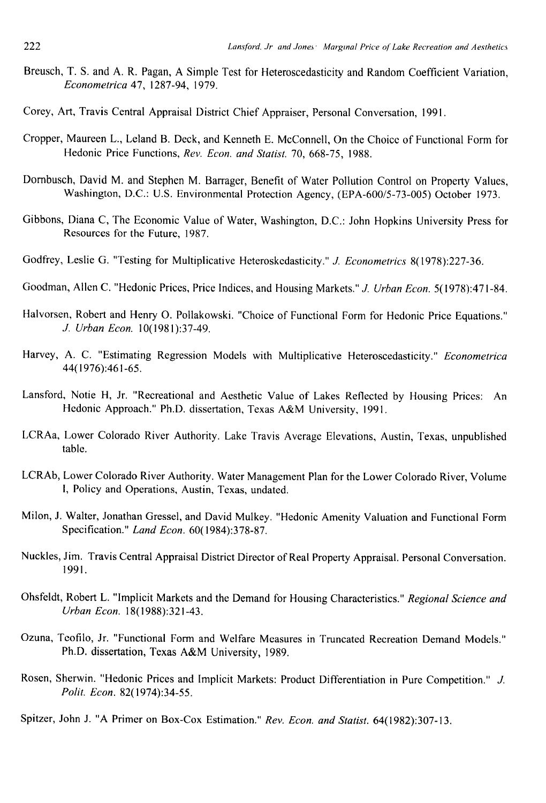- Breusch, T. S. and A. R. Pagan, A Simple Test for Heteroscedasticity and Random Coefficient Variation, *Econometrics 47, 1287-94, 1979.*
- Corey, Art, Travis Central Appraisal District Chief Appraiser, Personal Conversation, 1991
- Cropper, Maureen L., Leland B. Deck, and Kenneth E. McConnell, On the Choice of Functional Form for Hedonic Price Functions, *Rev. Econ. and Statist. 70, 668-75,* 1988.
- Dornbusch, David M. and Stephen M. Barrager, Benefit of Water Pollution Control on Property Values, Washington, D.C.: U.S. Environmental Protection Agency, (EPA-600/5-73-005) October 1973.
- Gibbons, Diana C, The Economic Value of Water, Washington, D.C.: John Hopkins University Press for Resources for the Future, 1987.
- Godfrey, Leslie G. "Testing for Multiplicative Heteroskcdasticity." J, *Econometrics 8( 1978):227-36.*
- Goodman, Allen C. "Hedonic Prices, Price Indices, and Housing Markets." J, *Urban Econ. 5( 1978):47 I-84.*
- Halvorsen, Robert and Henry O. Pollakowski. "Choice of Functional Form for Hedonic Price Equations." *J. Urban Econ. 10(198 1):37-49.*
- Harvey, A. C. "Estimating Regression Models with Multiplicative Heteroscedasticity." *Econometrics 44( I976):46 1-65.*
- Lansford, Notie H, Jr. "Recreational and Aesthetic Value of Lakes Reflected by Housing Prices: An Hedonic Approach." Ph.D. dissertation, Texas A&M University, 1991.
- LCRAa, Lower Colorado River Authority. Lake Travis Average Elevations, Austin, Texas, unpublished table.
- LCRAb, Lower Colorado River Authority. Water Management Plan for the Lower Colorado River, Volume I, Policy and Operations, Austin, Texas, undated.
- Milon, J. Walter, Jonathan Gressel, and David Mulkey, "Hedonic Amenity Valuation and Functional Form Specification." *Land Econ. 60(1984):378-87.*
- Nuckles, Jim. Travis Central Appraisal District Director of Real Property Appraisal, Personal Conversation. 1991.
- Ohsfeldt, Robert L. "Implicit Markets and the Demand for Housing Characteristics." *Regional Science and Urban Econ. 18(1988):32 I-43.*
- Ozuna, Tcotilo, Jr. "Functional Form and Welfare Measures in Truncated Recreation Demand Models. " Ph.D. dissertation, Texas A&M University, 1989.
- Rosen, Sherwin. "Hedonic Prices and Implicit Markets: Product Differentiation in Pure Competition." *J, Polit. Econ. 82(1 974):34-55.*
- Spitzer, John J. "A Primer on BOX-COXEstimation." *Rev. Econ, and Statist. 64(1982):307-13,*